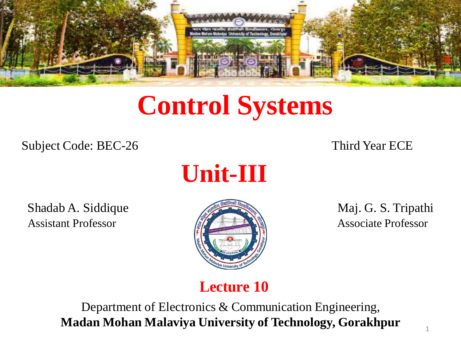

# **Control Systems**

Subject Code: BEC-26 Third Year ECE



Shadab A. Siddique Maj. G. S. Tripathi Assistant Professor **Associate Professor** Associate Professor



#### **Lecture 10**

Department of Electronics & Communication Engineering, **Madan Mohan Malaviya University of Technology, Gorakhpur**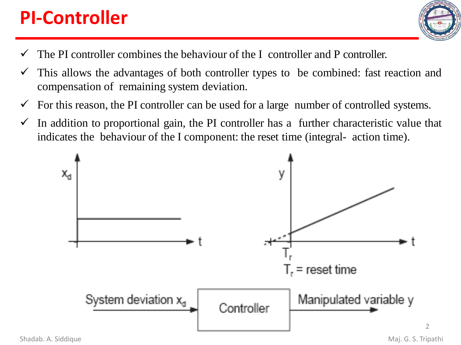# **PI-Controller**



- $\checkmark$  The PI controller combines the behaviour of the I controller and P controller.
- $\checkmark$  This allows the advantages of both controller types to be combined: fast reaction and compensation of remaining system deviation.
- $\checkmark$  For this reason, the PI controller can be used for a large number of controlled systems.
- $\checkmark$  In addition to proportional gain, the PI controller has a further characteristic value that indicates the behaviour of the I component: the reset time (integral- action time).



 $\mathfrak{I}$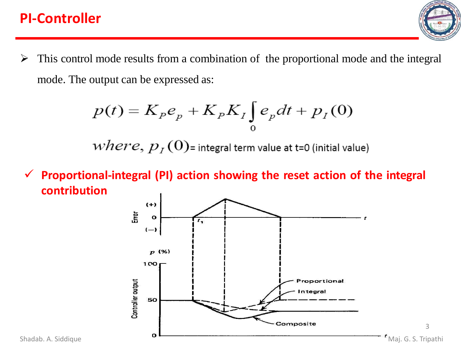#### **PI-Controller**

 $\triangleright$  This control mode results from a combination of the proportional mode and the integral mode. The output can be expressed as:

$$
p(t) = K_p e_p + K_p K_I \int_0^t e_p dt + p_I(0)
$$

 $where, p<sub>I</sub>(O)$ = integral term value at t=0 (initial value)

✓ **Proportional-integral (PI) action showing the reset action of the integral contribution**

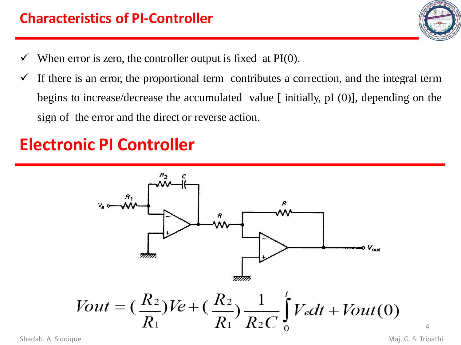- $\checkmark$  When error is zero, the controller output is fixed at PI(0).
- $\checkmark$  If there is an error, the proportional term contributes a correction, and the integral term begins to increase/decrease the accumulated value [ initially, pI (0)], depending on the sign of the error and the direct or reverse action.

# **Electronic PI Controller**



Shadab. A. Siddique **Maj. G. S. Tripathi** 

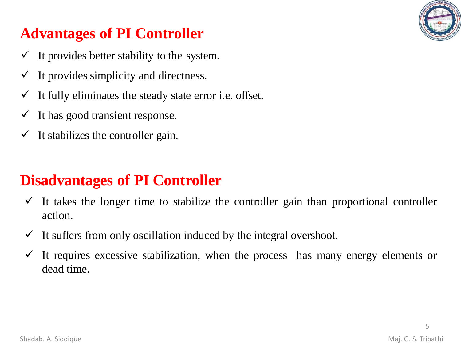

# **Advantages of PI Controller**

- $\checkmark$  It provides better stability to the system.
- $\checkmark$  It provides simplicity and directness.
- $\checkmark$  It fully eliminates the steady state error i.e. offset.
- $\checkmark$  It has good transient response.
- $\checkmark$  It stabilizes the controller gain.

## **Disadvantages of PI Controller**

- $\checkmark$  It takes the longer time to stabilize the controller gain than proportional controller action.
- $\checkmark$  It suffers from only oscillation induced by the integral overshoot.
- $\checkmark$  It requires excessive stabilization, when the process has many energy elements or dead time.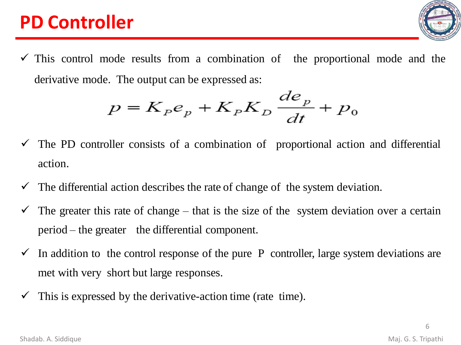# **PD Controller**

 $\checkmark$  This control mode results from a combination of the proportional mode and the derivative mode. The output can be expressed as:

$$
p = K_p e_p + K_p K_p \frac{de_p}{dt} + p_0
$$

- $\checkmark$  The PD controller consists of a combination of proportional action and differential action.
- $\checkmark$  The differential action describes the rate of change of the system deviation.
- $\checkmark$  The greater this rate of change that is the size of the system deviation over a certain period – the greater the differential component.
- $\checkmark$  In addition to the control response of the pure P controller, large system deviations are met with very short but large responses.
- $\checkmark$  This is expressed by the derivative-action time (rate time).

6

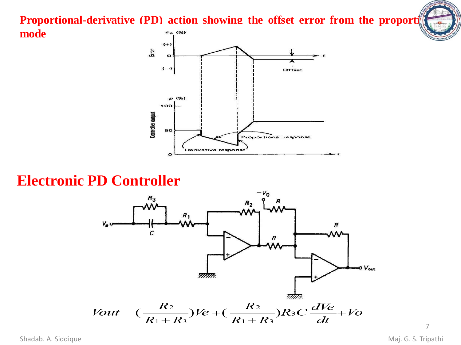**Proportional-derivative (PD) action showing the offset error from the proportional**



#### **Electronic PD Controller**



Shadab. A. Siddique **Maj. G. S. Tripathi** 

**mode**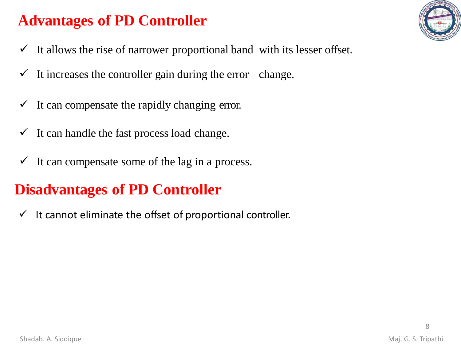### **Advantages of PD Controller**

- $\checkmark$  It allows the rise of narrower proportional band with its lesser offset.
- $\checkmark$  It increases the controller gain during the error change.
- $\checkmark$  It can compensate the rapidly changing error.
- $\checkmark$  It can handle the fast process load change.
- $\checkmark$  It can compensate some of the lag in a process.

#### **Disadvantages of PD Controller**

 $\checkmark$  It cannot eliminate the offset of proportional controller.

8

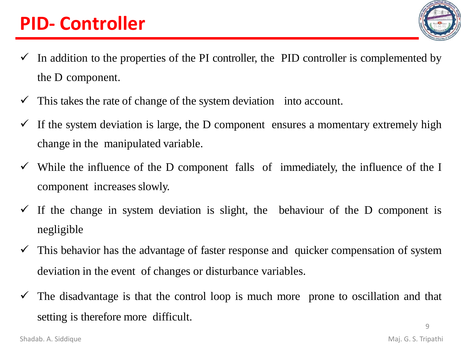# **PID- Controller**

- 
- $\checkmark$  In addition to the properties of the PI controller, the PID controller is complemented by the D component.
- $\checkmark$  This takes the rate of change of the system deviation into account.
- $\checkmark$  If the system deviation is large, the D component ensures a momentary extremely high change in the manipulated variable.
- $\checkmark$  While the influence of the D component falls of immediately, the influence of the I component increases slowly.
- $\checkmark$  If the change in system deviation is slight, the behaviour of the D component is negligible
- $\checkmark$  This behavior has the advantage of faster response and quicker compensation of system deviation in the event of changes or disturbance variables.
- $\checkmark$  The disadvantage is that the control loop is much more prone to oscillation and that setting is therefore more difficult.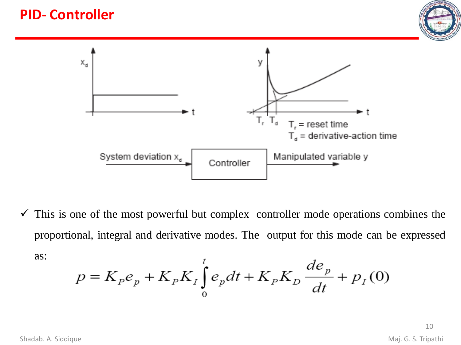#### **PID- Controller**





 $\checkmark$  This is one of the most powerful but complex controller mode operations combines the proportional, integral and derivative modes. The output for this mode can be expressed as:

$$
p = K_p e_p + K_p K_I \int_0^t e_p dt + K_p K_D \frac{de_p}{dt} + p_I(0)
$$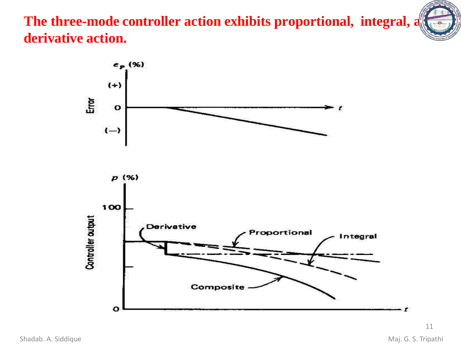The three-mode controller action exhibits proportional, integral, a **derivative action.**

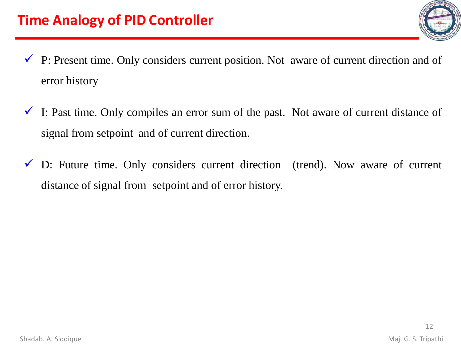

- $\checkmark$  P: Present time. Only considers current position. Not aware of current direction and of error history
- $\checkmark$  I: Past time. Only compiles an error sum of the past. Not aware of current distance of signal from setpoint and of current direction.
- $\checkmark$  D: Future time. Only considers current direction (trend). Now aware of current distance of signal from setpoint and of error history.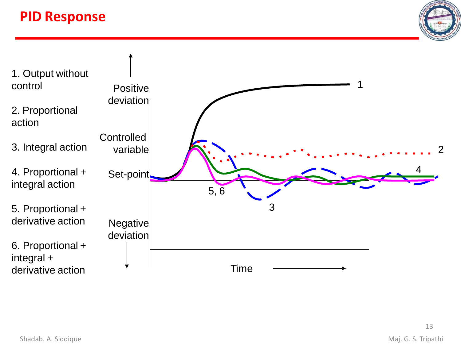#### **PID Response**





13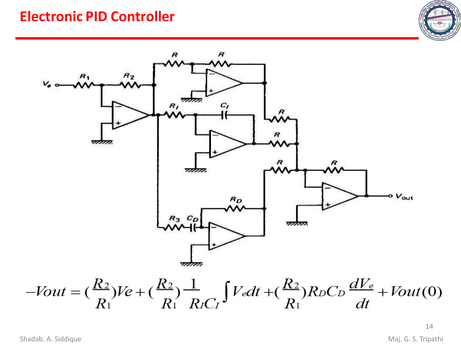#### **Electronic PID Controller**





$$
-Vout = \left(\frac{R_2}{R_1}\right)Ve + \left(\frac{R_2}{R_1}\right)\frac{1}{R_1C_1}\int V_e dt + \left(\frac{R_2}{R_1}\right)R_0C_0\frac{dV_e}{dt} + Vout(0)
$$

14

Shadab. A. Siddique **Maj. G. S. Tripathi**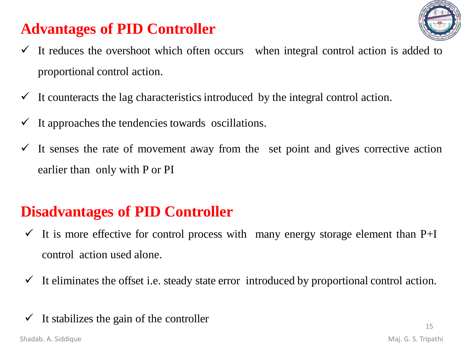## **Advantages of PID Controller**



- $\checkmark$  It reduces the overshoot which often occurs when integral control action is added to proportional control action.
- $\checkmark$  It counteracts the lag characteristics introduced by the integral control action.
- $\checkmark$  It approaches the tendencies towards oscillations.
- $\checkmark$  It senses the rate of movement away from the set point and gives corrective action earlier than only with P or PI

### **Disadvantages of PID Controller**

- $\checkmark$  It is more effective for control process with many energy storage element than P+I control action used alone.
- $\checkmark$  It eliminates the offset i.e. steady state error introduced by proportional control action.

#### $\checkmark$  It stabilizes the gain of the controller